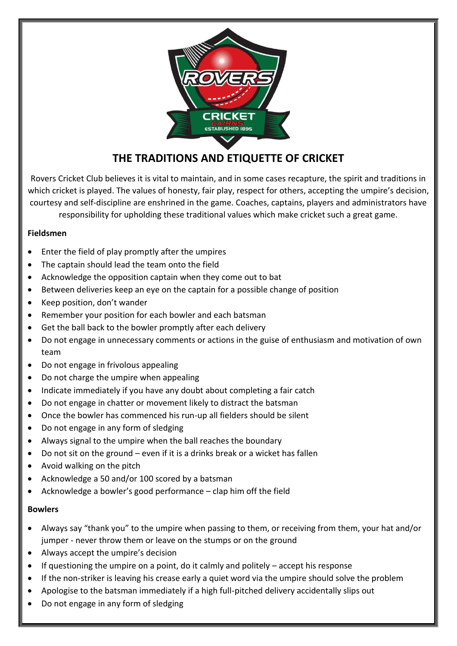

# **THE TRADITIONS AND ETIQUETTE OF CRICKET**

Rovers Cricket Club believes it is vital to maintain, and in some cases recapture, the spirit and traditions in which cricket is played. The values of honesty, fair play, respect for others, accepting the umpire's decision, courtesy and self-discipline are enshrined in the game. Coaches, captains, players and administrators have responsibility for upholding these traditional values which make cricket such a great game.

# **Fieldsmen**

- Enter the field of play promptly after the umpires
- The captain should lead the team onto the field
- Acknowledge the opposition captain when they come out to bat
- Between deliveries keep an eye on the captain for a possible change of position
- Keep position, don't wander
- Remember your position for each bowler and each batsman
- Get the ball back to the bowler promptly after each delivery
- Do not engage in unnecessary comments or actions in the guise of enthusiasm and motivation of own team
- Do not engage in frivolous appealing
- Do not charge the umpire when appealing
- Indicate immediately if you have any doubt about completing a fair catch
- Do not engage in chatter or movement likely to distract the batsman
- Once the bowler has commenced his run-up all fielders should be silent
- Do not engage in any form of sledging
- Always signal to the umpire when the ball reaches the boundary
- Do not sit on the ground even if it is a drinks break or a wicket has fallen
- Avoid walking on the pitch
- Acknowledge a 50 and/or 100 scored by a batsman
- Acknowledge a bowler's good performance clap him off the field

### **Bowlers**

- Always say "thank you" to the umpire when passing to them, or receiving from them, your hat and/or jumper - never throw them or leave on the stumps or on the ground
- Always accept the umpire's decision
- If questioning the umpire on a point, do it calmly and politely  $-$  accept his response
- If the non-striker is leaving his crease early a quiet word via the umpire should solve the problem
- Apologise to the batsman immediately if a high full-pitched delivery accidentally slips out
- Do not engage in any form of sledging